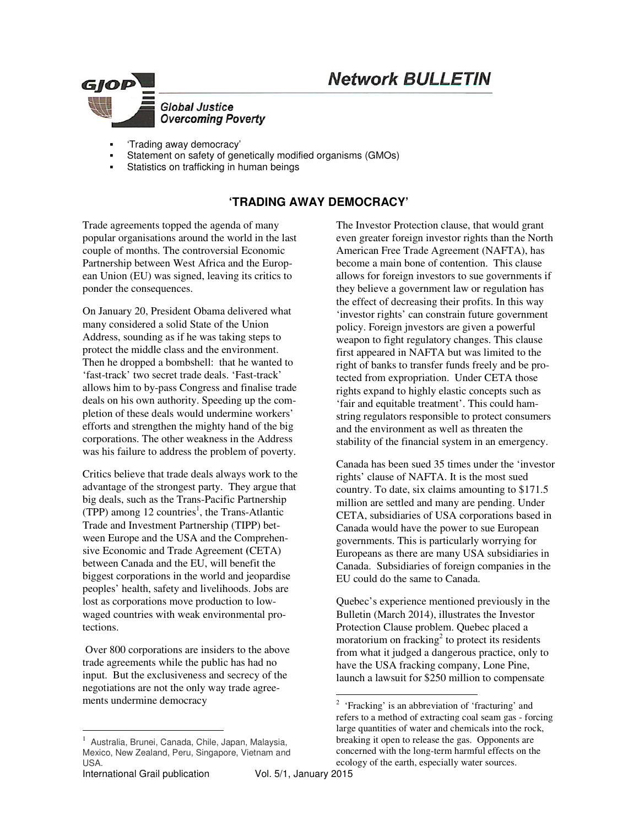# **Network BULLETIN**



- 'Trading away democracy'
- Statement on safety of genetically modified organisms (GMOs)
- Statistics on trafficking in human beings

# **'TRADING AWAY DEMOCRACY'**

Trade agreements topped the agenda of many popular organisations around the world in the last couple of months. The controversial Economic Partnership between West Africa and the European Union (EU) was signed, leaving its critics to ponder the consequences.

On January 20, President Obama delivered what many considered a solid State of the Union Address, sounding as if he was taking steps to protect the middle class and the environment. Then he dropped a bombshell: that he wanted to 'fast-track' two secret trade deals. 'Fast-track' allows him to by-pass Congress and finalise trade deals on his own authority. Speeding up the completion of these deals would undermine workers' efforts and strengthen the mighty hand of the big corporations. The other weakness in the Address was his failure to address the problem of poverty.

Critics believe that trade deals always work to the advantage of the strongest party. They argue that big deals, such as the Trans-Pacific Partnership (TPP) among  $12$  countries<sup>1</sup>, the Trans-Atlantic Trade and Investment Partnership (TIPP) between Europe and the USA and the Comprehensive Economic and Trade Agreement **(**CETA) between Canada and the EU, will benefit the biggest corporations in the world and jeopardise peoples' health, safety and livelihoods. Jobs are lost as corporations move production to lowwaged countries with weak environmental protections.

 Over 800 corporations are insiders to the above trade agreements while the public has had no input. But the exclusiveness and secrecy of the negotiations are not the only way trade agreements undermine democracy

 $\ddot{\phantom{a}}$ 

The Investor Protection clause, that would grant even greater foreign investor rights than the North American Free Trade Agreement (NAFTA), has become a main bone of contention. This clause allows for foreign investors to sue governments if they believe a government law or regulation has the effect of decreasing their profits. In this way 'investor rights' can constrain future government policy. Foreign jnvestors are given a powerful weapon to fight regulatory changes. This clause first appeared in NAFTA but was limited to the right of banks to transfer funds freely and be protected from expropriation. Under CETA those rights expand to highly elastic concepts such as 'fair and equitable treatment'. This could hamstring regulators responsible to protect consumers and the environment as well as threaten the stability of the financial system in an emergency.

Canada has been sued 35 times under the 'investor rights' clause of NAFTA. It is the most sued country. To date, six claims amounting to \$171.5 million are settled and many are pending. Under CETA, subsidiaries of USA corporations based in Canada would have the power to sue European governments. This is particularly worrying for Europeans as there are many USA subsidiaries in Canada. Subsidiaries of foreign companies in the EU could do the same to Canada.

Quebec's experience mentioned previously in the Bulletin (March 2014), illustrates the Investor Protection Clause problem. Quebec placed a moratorium on fracking<sup>2</sup> to protect its residents from what it judged a dangerous practice, only to have the USA fracking company, Lone Pine, launch a lawsuit for \$250 million to compensate

<sup>1</sup> Australia, Brunei, Canada, Chile, Japan, Malaysia, Mexico, New Zealand, Peru, Singapore, Vietnam and USA.

 $\frac{1}{2}$  'Fracking' is an abbreviation of 'fracturing' and refers to a method of extracting coal seam gas - forcing large quantities of water and chemicals into the rock, breaking it open to release the gas. Opponents are concerned with the long-term harmful effects on the ecology of the earth, especially water sources.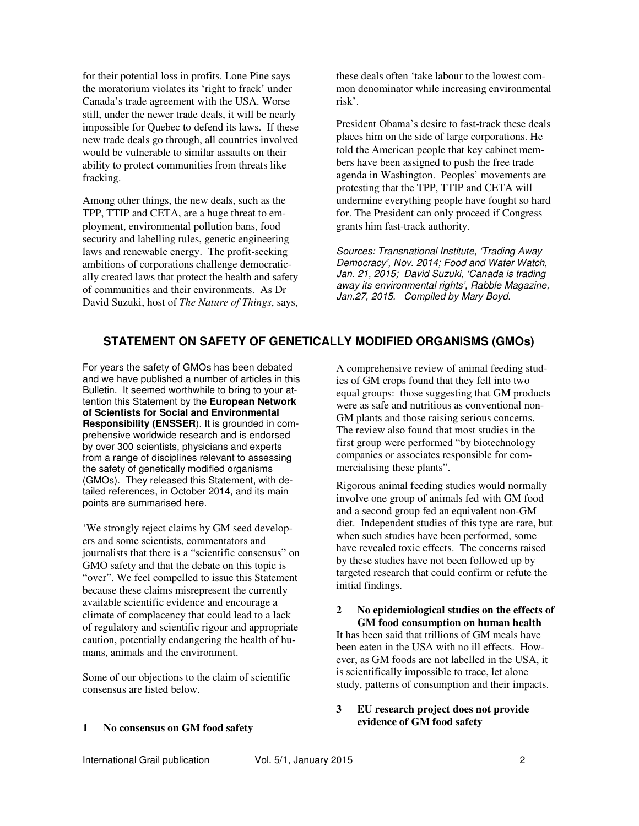for their potential loss in profits. Lone Pine says the moratorium violates its 'right to frack' under Canada's trade agreement with the USA. Worse still, under the newer trade deals, it will be nearly impossible for Quebec to defend its laws. If these new trade deals go through, all countries involved would be vulnerable to similar assaults on their ability to protect communities from threats like fracking.

Among other things, the new deals, such as the TPP, TTIP and CETA, are a huge threat to employment, environmental pollution bans, food security and labelling rules, genetic engineering laws and renewable energy. The profit-seeking ambitions of corporations challenge democratically created laws that protect the health and safety of communities and their environments. As Dr David Suzuki, host of *The Nature of Things*, says,

these deals often 'take labour to the lowest common denominator while increasing environmental risk'.

President Obama's desire to fast-track these deals places him on the side of large corporations. He told the American people that key cabinet members have been assigned to push the free trade agenda in Washington. Peoples' movements are protesting that the TPP, TTIP and CETA will undermine everything people have fought so hard for. The President can only proceed if Congress grants him fast-track authority.

*Sources: Transnational Institute, 'Trading Away Democracy', Nov. 2014; Food and Water Watch, Jan. 21, 2015; David Suzuki, 'Canada is trading away its environmental rights', Rabble Magazine, Jan.27, 2015. Compiled by Mary Boyd.* 

## **STATEMENT ON SAFETY OF GENETICALLY MODIFIED ORGANISMS (GMOs)**

For years the safety of GMOs has been debated and we have published a number of articles in this Bulletin. It seemed worthwhile to bring to your attention this Statement by the **European Network of Scientists for Social and Environmental Responsibility (ENSSER**). It is grounded in comprehensive worldwide research and is endorsed by over 300 scientists, physicians and experts from a range of disciplines relevant to assessing the safety of genetically modified organisms (GMOs). They released this Statement, with detailed references, in October 2014, and its main points are summarised here.

'We strongly reject claims by GM seed developers and some scientists, commentators and journalists that there is a "scientific consensus" on GMO safety and that the debate on this topic is "over". We feel compelled to issue this Statement because these claims misrepresent the currently available scientific evidence and encourage a climate of complacency that could lead to a lack of regulatory and scientific rigour and appropriate caution, potentially endangering the health of humans, animals and the environment.

Some of our objections to the claim of scientific consensus are listed below.

A comprehensive review of animal feeding studies of GM crops found that they fell into two equal groups: those suggesting that GM products were as safe and nutritious as conventional non-GM plants and those raising serious concerns. The review also found that most studies in the first group were performed "by biotechnology companies or associates responsible for commercialising these plants".

Rigorous animal feeding studies would normally involve one group of animals fed with GM food and a second group fed an equivalent non-GM diet. Independent studies of this type are rare, but when such studies have been performed, some have revealed toxic effects. The concerns raised by these studies have not been followed up by targeted research that could confirm or refute the initial findings.

#### **2 No epidemiological studies on the effects of GM food consumption on human health**

It has been said that trillions of GM meals have been eaten in the USA with no ill effects. However, as GM foods are not labelled in the USA, it is scientifically impossible to trace, let alone study, patterns of consumption and their impacts.

#### **3 EU research project does not provide evidence of GM food safety**

#### **1 No consensus on GM food safety**

International Grail publication Vol. 5/1, January 2015 2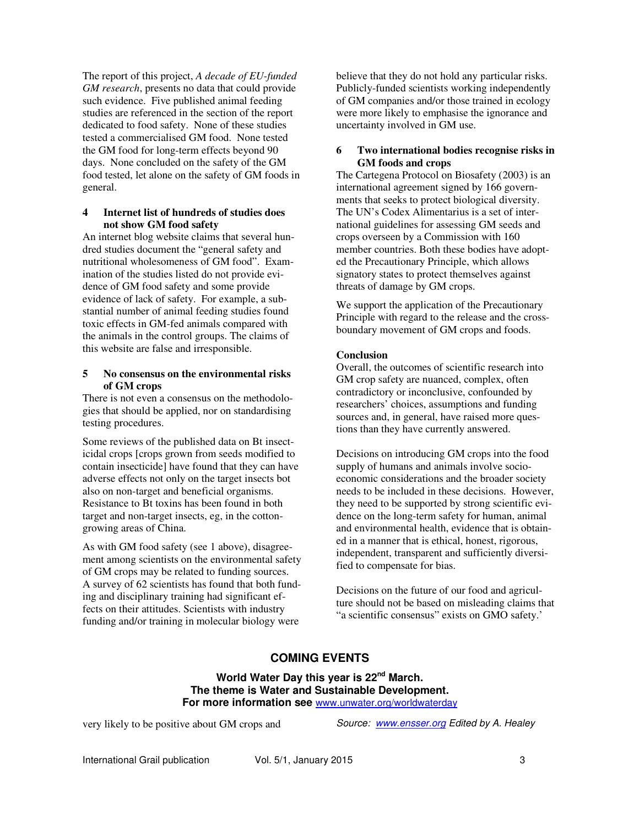The report of this project, *A decade of EU-funded GM research*, presents no data that could provide such evidence. Five published animal feeding studies are referenced in the section of the report dedicated to food safety. None of these studies tested a commercialised GM food. None tested the GM food for long-term effects beyond 90 days. None concluded on the safety of the GM food tested, let alone on the safety of GM foods in general.

#### **4 Internet list of hundreds of studies does not show GM food safety**

An internet blog website claims that several hundred studies document the "general safety and nutritional wholesomeness of GM food". Examination of the studies listed do not provide evidence of GM food safety and some provide evidence of lack of safety. For example, a substantial number of animal feeding studies found toxic effects in GM-fed animals compared with the animals in the control groups. The claims of this website are false and irresponsible.

#### **5 No consensus on the environmental risks of GM crops**

There is not even a consensus on the methodologies that should be applied, nor on standardising testing procedures.

Some reviews of the published data on Bt insecticidal crops [crops grown from seeds modified to contain insecticide] have found that they can have adverse effects not only on the target insects bot also on non-target and beneficial organisms. Resistance to Bt toxins has been found in both target and non-target insects, eg, in the cottongrowing areas of China.

As with GM food safety (see 1 above), disagreement among scientists on the environmental safety of GM crops may be related to funding sources. A survey of 62 scientists has found that both funding and disciplinary training had significant effects on their attitudes. Scientists with industry funding and/or training in molecular biology were

believe that they do not hold any particular risks. Publicly-funded scientists working independently of GM companies and/or those trained in ecology were more likely to emphasise the ignorance and uncertainty involved in GM use.

#### **6 Two international bodies recognise risks in GM foods and crops**

The Cartegena Protocol on Biosafety (2003) is an international agreement signed by 166 governments that seeks to protect biological diversity. The UN's Codex Alimentarius is a set of international guidelines for assessing GM seeds and crops overseen by a Commission with 160 member countries. Both these bodies have adopted the Precautionary Principle, which allows signatory states to protect themselves against threats of damage by GM crops.

We support the application of the Precautionary Principle with regard to the release and the crossboundary movement of GM crops and foods.

### **Conclusion**

Overall, the outcomes of scientific research into GM crop safety are nuanced, complex, often contradictory or inconclusive, confounded by researchers' choices, assumptions and funding sources and, in general, have raised more questions than they have currently answered.

Decisions on introducing GM crops into the food supply of humans and animals involve socioeconomic considerations and the broader society needs to be included in these decisions. However, they need to be supported by strong scientific evidence on the long-term safety for human, animal and environmental health, evidence that is obtained in a manner that is ethical, honest, rigorous, independent, transparent and sufficiently diversified to compensate for bias.

Decisions on the future of our food and agriculture should not be based on misleading claims that "a scientific consensus" exists on GMO safety.'

# **COMING EVENTS**

**World Water Day this year is 22nd March. The theme is Water and Sustainable Development. For more information see** www.unwater.org/worldwaterday

very likely to be positive about GM crops and

*Source: www.ensser.org Edited by A. Healey*

International Grail publication Vol. 5/1, January 2015 3